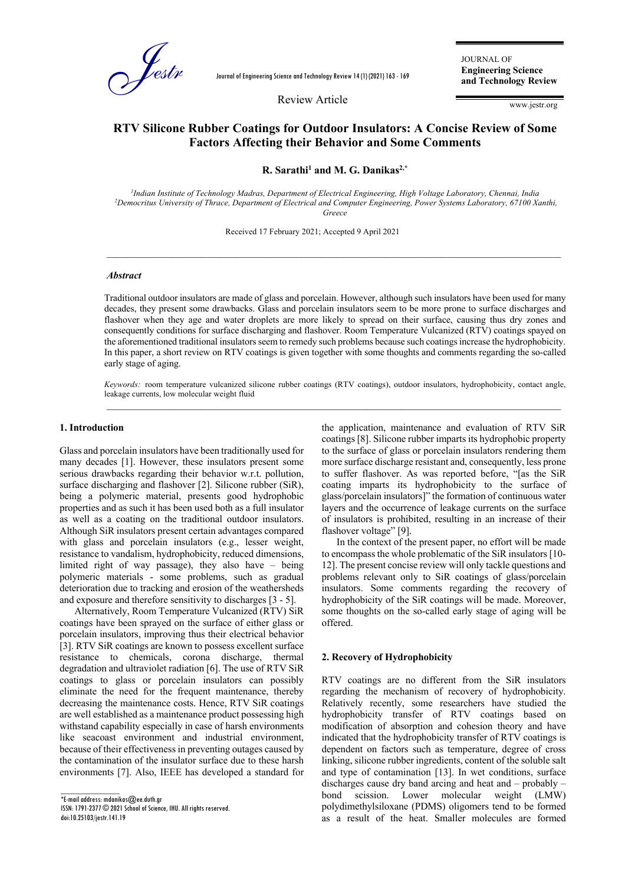

Journal of Engineering Science and Technology Review 14 (1) (2021) 163 - 169

Review Article

JOURNAL OF **Engineering Science and Technology Review**

www.jestr.org

# **RTV Silicone Rubber Coatings for Outdoor Insulators: A Concise Review of Some Factors Affecting their Behavior and Some Comments**  r

**R. Sarathi<sup>1</sup> and M. G. Danikas2,\***

*1 Indian Institute of Technology Madras, Department of Electrical Engineering, High Voltage Laboratory, Chennai, India <sup>2</sup>Democritus University of Thrace, Department of Electrical and Computer Engineering, Power Systems Laboratory, 67100 Xanthi, Greece*

\_\_\_\_\_\_\_\_\_\_\_\_\_\_\_\_\_\_\_\_\_\_\_\_\_\_\_\_\_\_\_\_\_\_\_\_\_\_\_\_\_\_\_\_\_\_\_\_\_\_\_\_\_\_\_\_\_\_\_\_\_\_\_\_\_\_\_\_\_\_\_\_\_\_\_\_\_\_\_\_\_\_\_\_\_\_\_\_\_\_\_

Received 17 February 2021; Accepted 9 April 2021

#### *Abstract*

Traditional outdoor insulators are made of glass and porcelain. However, although such insulators have been used for many decades, they present some drawbacks. Glass and porcelain insulators seem to be more prone to surface discharges and flashover when they age and water droplets are more likely to spread on their surface, causing thus dry zones and consequently conditions for surface discharging and flashover. Room Temperature Vulcanized (RTV) coatings spayed on the aforementioned traditional insulators seem to remedy such problems because such coatings increase the hydrophobicity. In this paper, a short review on RTV coatings is given together with some thoughts and comments regarding the so-called early stage of aging.

*Keywords:* room temperature vulcanized silicone rubber coatings (RTV coatings), outdoor insulators, hydrophobicity, contact angle, leakage currents, low molecular weight fluid  $\_$  ,  $\_$  ,  $\_$  ,  $\_$  ,  $\_$  ,  $\_$  ,  $\_$  ,  $\_$  ,  $\_$  ,  $\_$  ,  $\_$  ,  $\_$  ,  $\_$  ,  $\_$  ,  $\_$  ,  $\_$  ,  $\_$  ,  $\_$  ,  $\_$  ,  $\_$  ,  $\_$  ,  $\_$  ,  $\_$  ,  $\_$  ,  $\_$  ,  $\_$  ,  $\_$  ,  $\_$  ,  $\_$  ,  $\_$  ,  $\_$  ,  $\_$  ,  $\_$  ,  $\_$  ,  $\_$  ,  $\_$  ,  $\_$  ,

#### **1. Introduction**

Glass and porcelain insulators have been traditionally used for many decades [1]. However, these insulators present some serious drawbacks regarding their behavior w.r.t. pollution, surface discharging and flashover [2]. Silicone rubber (SiR), being a polymeric material, presents good hydrophobic properties and as such it has been used both as a full insulator as well as a coating on the traditional outdoor insulators. Although SiR insulators present certain advantages compared with glass and porcelain insulators (e.g., lesser weight, resistance to vandalism, hydrophobicity, reduced dimensions, limited right of way passage), they also have – being polymeric materials - some problems, such as gradual deterioration due to tracking and erosion of the weathersheds and exposure and therefore sensitivity to discharges [3 - 5].

Alternatively, Room Temperature Vulcanized (RTV) SiR coatings have been sprayed on the surface of either glass or porcelain insulators, improving thus their electrical behavior [3]. RTV SiR coatings are known to possess excellent surface resistance to chemicals, corona discharge, thermal degradation and ultraviolet radiation [6]. The use of RTV SiR coatings to glass or porcelain insulators can possibly eliminate the need for the frequent maintenance, thereby decreasing the maintenance costs. Hence, RTV SiR coatings are well established as a maintenance product possessing high withstand capability especially in case of harsh environments like seacoast environment and industrial environment, because of their effectivenessin preventing outages caused by the contamination of the insulator surface due to these harsh environments [7]. Also, IEEE has developed a standard for

 $\overline{\phantom{a}}$  , where  $\overline{\phantom{a}}$ \*E-mail address: mdanikas@ee.duth.gr ISSN: 1791-2377 © 2021 School of Science, IHU. All rights reserved. doi:10.25103/jestr.141.19

the application, maintenance and evaluation of RTV SiR coatings [8]. Silicone rubber imparts its hydrophobic property to the surface of glass or porcelain insulators rendering them more surface discharge resistant and, consequently, less prone to suffer flashover. As was reported before, "[as the SiR coating imparts its hydrophobicity to the surface of glass/porcelain insulators]" the formation of continuous water layers and the occurrence of leakage currents on the surface of insulators is prohibited, resulting in an increase of their flashover voltage" [9].

In the context of the present paper, no effort will be made to encompass the whole problematic of the SiR insulators [10- 12]. The present concise review will only tackle questions and problems relevant only to SiR coatings of glass/porcelain insulators. Some comments regarding the recovery of hydrophobicity of the SiR coatings will be made. Moreover, some thoughts on the so-called early stage of aging will be offered.

#### **2. Recovery of Hydrophobicity**

RTV coatings are no different from the SiR insulators regarding the mechanism of recovery of hydrophobicity. Relatively recently, some researchers have studied the hydrophobicity transfer of RTV coatings based on modification of absorption and cohesion theory and have indicated that the hydrophobicity transfer of RTV coatings is dependent on factors such as temperature, degree of cross linking, silicone rubber ingredients, content of the soluble salt and type of contamination [13]. In wet conditions, surface discharges cause dry band arcing and heat and – probably – bond scission. Lower molecular weight (LMW) polydimethylsiloxane (PDMS) oligomers tend to be formed as a result of the heat. Smaller molecules are formed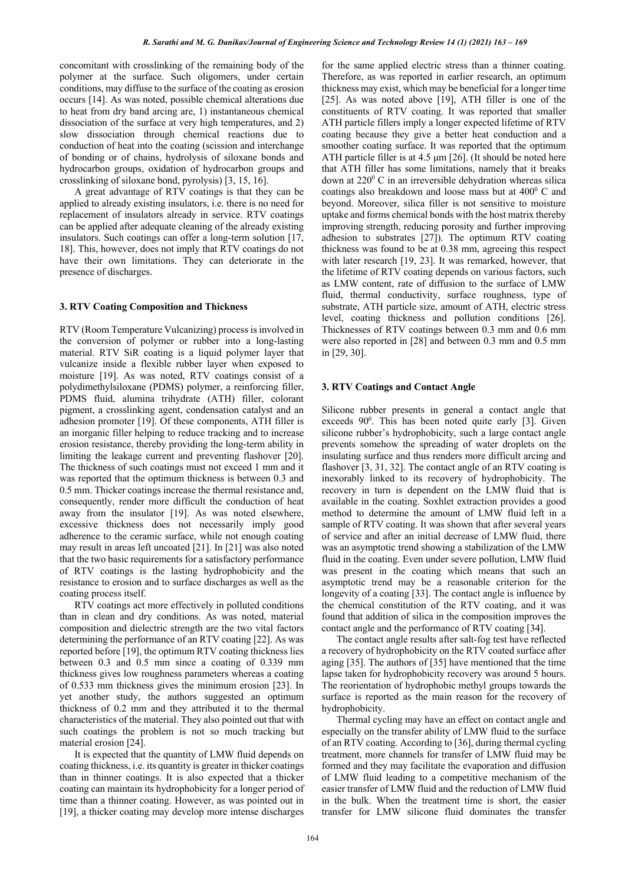concomitant with crosslinking of the remaining body of the polymer at the surface. Such oligomers, under certain conditions, may diffuse to the surface of the coating as erosion occurs [14]. As was noted, possible chemical alterations due to heat from dry band arcing are, 1) instantaneous chemical dissociation of the surface at very high temperatures, and 2) slow dissociation through chemical reactions due to conduction of heat into the coating (scission and interchange of bonding or of chains, hydrolysis of siloxane bonds and hydrocarbon groups, oxidation of hydrocarbon groups and crosslinking of siloxane bond, pyrolysis) [3, 15, 16].

A great advantage of RTV coatings is that they can be applied to already existing insulators, i.e. there is no need for replacement of insulators already in service. RTV coatings can be applied after adequate cleaning of the already existing insulators. Such coatings can offer a long-term solution [17, 18]. This, however, does not imply that RTV coatings do not have their own limitations. They can deteriorate in the presence of discharges.

## **3. RTV Coating Composition and Thickness**

RTV (Room Temperature Vulcanizing) process is involved in the conversion of polymer or rubber into a long-lasting material. RTV SiR coating is a liquid polymer layer that vulcanize inside a flexible rubber layer when exposed to moisture [19]. As was noted, RTV coatings consist of a polydimethylsiloxane (PDMS) polymer, a reinforcing filler, PDMS fluid, alumina trihydrate (ATH) filler, colorant pigment, a crosslinking agent, condensation catalyst and an adhesion promoter [19]. Of these components, ATH filler is an inorganic filler helping to reduce tracking and to increase erosion resistance, thereby providing the long-term ability in limiting the leakage current and preventing flashover [20]. The thickness of such coatings must not exceed 1 mm and it was reported that the optimum thickness is between 0.3 and 0.5 mm. Thicker coatings increase the thermal resistance and, consequently, render more difficult the conduction of heat away from the insulator [19]. As was noted elsewhere, excessive thickness does not necessarily imply good adherence to the ceramic surface, while not enough coating may result in areas left uncoated [21]. In [21] was also noted that the two basic requirements for a satisfactory performance of RTV coatings is the lasting hydrophobicity and the resistance to erosion and to surface discharges as well as the coating process itself.

RTV coatings act more effectively in polluted conditions than in clean and dry conditions. As was noted, material composition and dielectric strength are the two vital factors determining the performance of an RTV coating [22]. As was reported before [19], the optimum RTV coating thickness lies between 0.3 and 0.5 mm since a coating of 0.339 mm thickness gives low roughness parameters whereas a coating of 0.533 mm thickness gives the minimum erosion [23]. In yet another study, the authors suggested an optimum thickness of 0.2 mm and they attributed it to the thermal characteristics of the material. They also pointed out that with such coatings the problem is not so much tracking but material erosion [24].

It is expected that the quantity of LMW fluid depends on coating thickness, i.e. its quantity is greater in thicker coatings than in thinner coatings. It is also expected that a thicker coating can maintain its hydrophobicity for a longer period of time than a thinner coating. However, as was pointed out in [19], a thicker coating may develop more intense discharges

for the same applied electric stress than a thinner coating. Therefore, as was reported in earlier research, an optimum thickness may exist, which may be beneficial for a longer time [25]. As was noted above [19], ATH filler is one of the constituents of RTV coating. It was reported that smaller ATH particle fillers imply a longer expected lifetime of RTV coating because they give a better heat conduction and a smoother coating surface. It was reported that the optimum ATH particle filler is at 4.5  $\mu$ m [26]. (It should be noted here that ATH filler has some limitations, namely that it breaks down at  $220^{\circ}$  C in an irreversible dehydration whereas silica coatings also breakdown and loose mass but at  $400^{\circ}$  C and beyond. Moreover, silica filler is not sensitive to moisture uptake and forms chemical bonds with the host matrix thereby improving strength, reducing porosity and further improving adhesion to substrates [27]). The optimum RTV coating thickness was found to be at 0.38 mm, agreeing this respect with later research [19, 23]. It was remarked, however, that the lifetime of RTV coating depends on various factors, such as LMW content, rate of diffusion to the surface of LMW fluid, thermal conductivity, surface roughness, type of substrate, ATH particle size, amount of ATH, electric stress level, coating thickness and pollution conditions [26]. Thicknesses of RTV coatings between 0.3 mm and 0.6 mm were also reported in [28] and between 0.3 mm and 0.5 mm in [29, 30].

### **3. RTV Coatings and Contact Angle**

Silicone rubber presents in general a contact angle that exceeds  $90^\circ$ . This has been noted quite early [3]. Given silicone rubber's hydrophobicity, such a large contact angle prevents somehow the spreading of water droplets on the insulating surface and thus renders more difficult arcing and flashover [3, 31, 32]. The contact angle of an RTV coating is inexorably linked to its recovery of hydrophobicity. The recovery in turn is dependent on the LMW fluid that is available in the coating. Soxhlet extraction provides a good method to determine the amount of LMW fluid left in a sample of RTV coating. It was shown that after several years of service and after an initial decrease of LMW fluid, there was an asymptotic trend showing a stabilization of the LMW fluid in the coating. Even under severe pollution, LMW fluid was present in the coating which means that such an asymptotic trend may be a reasonable criterion for the longevity of a coating [33]. The contact angle is influence by the chemical constitution of the RTV coating, and it was found that addition of silica in the composition improves the contact angle and the performance of RTV coating [34].

The contact angle results after salt-fog test have reflected a recovery of hydrophobicity on the RTV coated surface after aging [35]. The authors of [35] have mentioned that the time lapse taken for hydrophobicity recovery was around 5 hours. The reorientation of hydrophobic methyl groups towards the surface is reported as the main reason for the recovery of hydrophobicity.

 Thermal cycling may have an effect on contact angle and especially on the transfer ability of LMW fluid to the surface of an RTV coating. According to [36], during thermal cycling treatment, more channels for transfer of LMW fluid may be formed and they may facilitate the evaporation and diffusion of LMW fluid leading to a competitive mechanism of the easier transfer of LMW fluid and the reduction of LMW fluid in the bulk. When the treatment time is short, the easier transfer for LMW silicone fluid dominates the transfer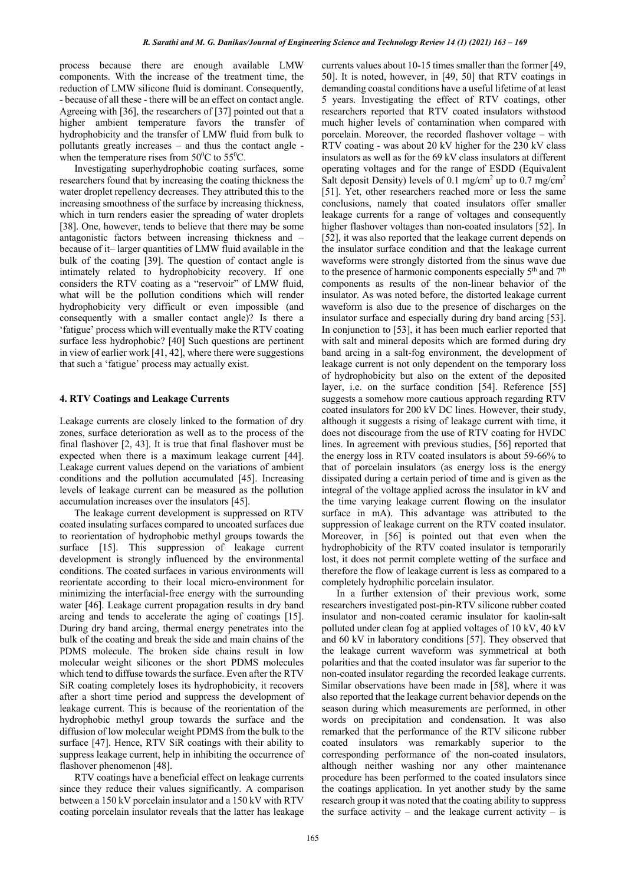process because there are enough available LMW components. With the increase of the treatment time, the reduction of LMW silicone fluid is dominant. Consequently, - because of all these - there will be an effect on contact angle. Agreeing with [36], the researchers of [37] pointed out that a higher ambient temperature favors the transfer of hydrophobicity and the transfer of LMW fluid from bulk to pollutants greatly increases – and thus the contact angle when the temperature rises from  $50^{\circ}$ C to  $55^{\circ}$ C.

Investigating superhydrophobic coating surfaces, some researchers found that by increasing the coating thickness the water droplet repellency decreases. They attributed this to the increasing smoothness of the surface by increasing thickness, which in turn renders easier the spreading of water droplets [38]. One, however, tends to believe that there may be some antagonistic factors between increasing thickness and – because of it– larger quantities of LMW fluid available in the bulk of the coating [39]. The question of contact angle is intimately related to hydrophobicity recovery. If one considers the RTV coating as a "reservoir" of LMW fluid, what will be the pollution conditions which will render hydrophobicity very difficult or even impossible (and consequently with a smaller contact angle)? Is there a 'fatigue' process which will eventually make the RTV coating surface less hydrophobic? [40] Such questions are pertinent in view of earlier work [41, 42], where there were suggestions that such a 'fatigue' process may actually exist.

## **4. RTV Coatings and Leakage Currents**

Leakage currents are closely linked to the formation of dry zones, surface deterioration as well as to the process of the final flashover [2, 43]. It is true that final flashover must be expected when there is a maximum leakage current [44]. Leakage current values depend on the variations of ambient conditions and the pollution accumulated [45]. Increasing levels of leakage current can be measured as the pollution accumulation increases over the insulators [45].

The leakage current development is suppressed on RTV coated insulating surfaces compared to uncoated surfaces due to reorientation of hydrophobic methyl groups towards the surface [15]. This suppression of leakage current development is strongly influenced by the environmental conditions. The coated surfaces in various environments will reorientate according to their local micro-environment for minimizing the interfacial-free energy with the surrounding water [46]. Leakage current propagation results in dry band arcing and tends to accelerate the aging of coatings [15]. During dry band arcing, thermal energy penetrates into the bulk of the coating and break the side and main chains of the PDMS molecule. The broken side chains result in low molecular weight silicones or the short PDMS molecules which tend to diffuse towards the surface. Even after the RTV SiR coating completely loses its hydrophobicity, it recovers after a short time period and suppress the development of leakage current. This is because of the reorientation of the hydrophobic methyl group towards the surface and the diffusion of low molecular weight PDMS from the bulk to the surface [47]. Hence, RTV SiR coatings with their ability to suppress leakage current, help in inhibiting the occurrence of flashover phenomenon [48].

RTV coatings have a beneficial effect on leakage currents since they reduce their values significantly. A comparison between a 150 kV porcelain insulator and a 150 kV with RTV coating porcelain insulator reveals that the latter has leakage currents values about 10-15 times smaller than the former [49, 50]. It is noted, however, in [49, 50] that RTV coatings in demanding coastal conditions have a useful lifetime of at least 5 years. Investigating the effect of RTV coatings, other researchers reported that RTV coated insulators withstood much higher levels of contamination when compared with porcelain. Moreover, the recorded flashover voltage – with RTV coating - was about 20 kV higher for the 230 kV class insulators as well as for the 69 kV class insulators at different operating voltages and for the range of ESDD (Equivalent Salt deposit Density) levels of 0.1 mg/cm<sup>2</sup> up to 0.7 mg/cm<sup>2</sup> [51]. Yet, other researchers reached more or less the same conclusions, namely that coated insulators offer smaller leakage currents for a range of voltages and consequently higher flashover voltages than non-coated insulators [52]. In [52], it was also reported that the leakage current depends on the insulator surface condition and that the leakage current waveforms were strongly distorted from the sinus wave due to the presence of harmonic components especially  $5<sup>th</sup>$  and  $7<sup>th</sup>$ components as results of the non-linear behavior of the insulator. As was noted before, the distorted leakage current waveform is also due to the presence of discharges on the insulator surface and especially during dry band arcing [53]. In conjunction to [53], it has been much earlier reported that with salt and mineral deposits which are formed during dry band arcing in a salt-fog environment, the development of leakage current is not only dependent on the temporary loss of hydrophobicity but also on the extent of the deposited layer, i.e. on the surface condition [54]. Reference [55]. suggests a somehow more cautious approach regarding RTV coated insulators for 200 kV DC lines. However, their study, although it suggests a rising of leakage current with time, it does not discourage from the use of RTV coating for HVDC lines. In agreement with previous studies, [56] reported that the energy loss in RTV coated insulators is about 59-66% to that of porcelain insulators (as energy loss is the energy dissipated during a certain period of time and is given as the integral of the voltage applied across the insulator in kV and the time varying leakage current flowing on the insulator surface in mA). This advantage was attributed to the suppression of leakage current on the RTV coated insulator. Moreover, in [56] is pointed out that even when the hydrophobicity of the RTV coated insulator is temporarily lost, it does not permit complete wetting of the surface and therefore the flow of leakage current is less as compared to a completely hydrophilic porcelain insulator.

In a further extension of their previous work, some researchers investigated post-pin-RTV silicone rubber coated insulator and non-coated ceramic insulator for kaolin-salt polluted under clean fog at applied voltages of 10 kV, 40 kV and 60 kV in laboratory conditions [57]. They observed that the leakage current waveform was symmetrical at both polarities and that the coated insulator was far superior to the non-coated insulator regarding the recorded leakage currents. Similar observations have been made in [58], where it was also reported that the leakage current behavior depends on the season during which measurements are performed, in other words on precipitation and condensation. It was also remarked that the performance of the RTV silicone rubber coated insulators was remarkably superior to the corresponding performance of the non-coated insulators, although neither washing nor any other maintenance procedure has been performed to the coated insulators since the coatings application. In yet another study by the same research group it was noted that the coating ability to suppress the surface activity – and the leakage current activity – is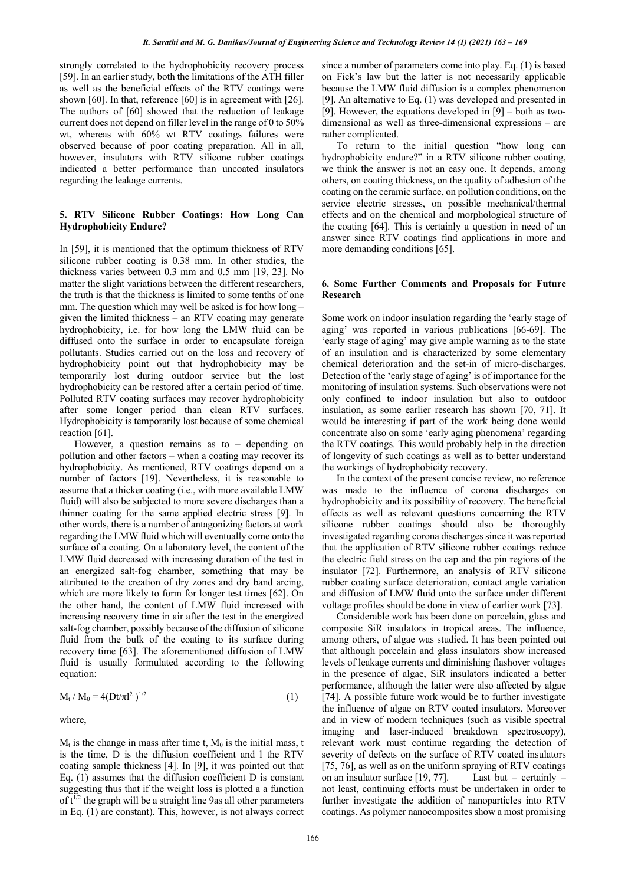strongly correlated to the hydrophobicity recovery process [59]. In an earlier study, both the limitations of the ATH filler as well as the beneficial effects of the RTV coatings were shown [60]. In that, reference [60] is in agreement with [26]. The authors of [60] showed that the reduction of leakage current does not depend on filler level in the range of 0 to 50% wt, whereas with 60% wt RTV coatings failures were observed because of poor coating preparation. All in all, however, insulators with RTV silicone rubber coatings indicated a better performance than uncoated insulators regarding the leakage currents.

## **5. RTV Silicone Rubber Coatings: How Long Can Hydrophobicity Endure?**

In [59], it is mentioned that the optimum thickness of RTV silicone rubber coating is 0.38 mm. In other studies, the thickness varies between 0.3 mm and 0.5 mm [19, 23]. No matter the slight variations between the different researchers, the truth is that the thickness is limited to some tenths of one mm. The question which may well be asked is for how long – given the limited thickness – an RTV coating may generate hydrophobicity, i.e. for how long the LMW fluid can be diffused onto the surface in order to encapsulate foreign pollutants. Studies carried out on the loss and recovery of hydrophobicity point out that hydrophobicity may be temporarily lost during outdoor service but the lost hydrophobicity can be restored after a certain period of time. Polluted RTV coating surfaces may recover hydrophobicity after some longer period than clean RTV surfaces. Hydrophobicity is temporarily lost because of some chemical reaction [61].

However, a question remains as to – depending on pollution and other factors – when a coating may recover its hydrophobicity. As mentioned, RTV coatings depend on a number of factors [19]. Nevertheless, it is reasonable to assume that a thicker coating (i.e., with more available LMW fluid) will also be subjected to more severe discharges than a thinner coating for the same applied electric stress [9]. In other words, there is a number of antagonizing factors at work regarding the LMW fluid which will eventually come onto the surface of a coating. On a laboratory level, the content of the LMW fluid decreased with increasing duration of the test in an energized salt-fog chamber, something that may be attributed to the creation of dry zones and dry band arcing, which are more likely to form for longer test times [62]. On the other hand, the content of LMW fluid increased with increasing recovery time in air after the test in the energized salt-fog chamber, possibly because of the diffusion of silicone fluid from the bulk of the coating to its surface during recovery time [63]. The aforementioned diffusion of LMW fluid is usually formulated according to the following equation:

$$
M_t / M_0 = 4(Dt/\pi l^2)^{1/2}
$$
 (1)

where,

 $M_t$  is the change in mass after time t,  $M_0$  is the initial mass, t is the time, D is the diffusion coefficient and l the RTV coating sample thickness [4]. In [9], it was pointed out that Eq. (1) assumes that the diffusion coefficient D is constant suggesting thus that if the weight loss is plotted a a function of  $t^{1/2}$  the graph will be a straight line 9as all other parameters in Eq. (1) are constant). This, however, is not always correct since a number of parameters come into play. Eq. (1) is based on Fick's law but the latter is not necessarily applicable because the LMW fluid diffusion is a complex phenomenon [9]. An alternative to Eq. (1) was developed and presented in [9]. However, the equations developed in [9] – both as twodimensional as well as three-dimensional expressions – are rather complicated.

To return to the initial question "how long can hydrophobicity endure?" in a RTV silicone rubber coating, we think the answer is not an easy one. It depends, among others, on coating thickness, on the quality of adhesion of the coating on the ceramic surface, on pollution conditions, on the service electric stresses, on possible mechanical/thermal effects and on the chemical and morphological structure of the coating [64]. This is certainly a question in need of an answer since RTV coatings find applications in more and more demanding conditions [65].

## **6. Some Further Comments and Proposals for Future Research**

Some work on indoor insulation regarding the 'early stage of aging' was reported in various publications [66-69]. The 'early stage of aging' may give ample warning as to the state of an insulation and is characterized by some elementary chemical deterioration and the set-in of micro-discharges. Detection of the 'early stage of aging' is of importance for the monitoring of insulation systems. Such observations were not only confined to indoor insulation but also to outdoor insulation, as some earlier research has shown [70, 71]. It would be interesting if part of the work being done would concentrate also on some 'early aging phenomena' regarding the RTV coatings. This would probably help in the direction of longevity of such coatings as well as to better understand the workings of hydrophobicity recovery.

In the context of the present concise review, no reference was made to the influence of corona discharges on hydrophobicity and its possibility of recovery. The beneficial effects as well as relevant questions concerning the RTV silicone rubber coatings should also be thoroughly investigated regarding corona discharges since it was reported that the application of RTV silicone rubber coatings reduce the electric field stress on the cap and the pin regions of the insulator [72]. Furthermore, an analysis of RTV silicone rubber coating surface deterioration, contact angle variation and diffusion of LMW fluid onto the surface under different voltage profiles should be done in view of earlier work [73].

Considerable work has been done on porcelain, glass and composite SiR insulators in tropical areas. The influence, among others, of algae was studied. It has been pointed out that although porcelain and glass insulators show increased levels of leakage currents and diminishing flashover voltages in the presence of algae, SiR insulators indicated a better performance, although the latter were also affected by algae [74]. A possible future work would be to further investigate the influence of algae on RTV coated insulators. Moreover and in view of modern techniques (such as visible spectral imaging and laser-induced breakdown spectroscopy), relevant work must continue regarding the detection of severity of defects on the surface of RTV coated insulators [75, 76], as well as on the uniform spraying of RTV coatings on an insulator surface  $[19, 77]$ . Last but – certainly – not least, continuing efforts must be undertaken in order to further investigate the addition of nanoparticles into RTV coatings. As polymer nanocomposites show a most promising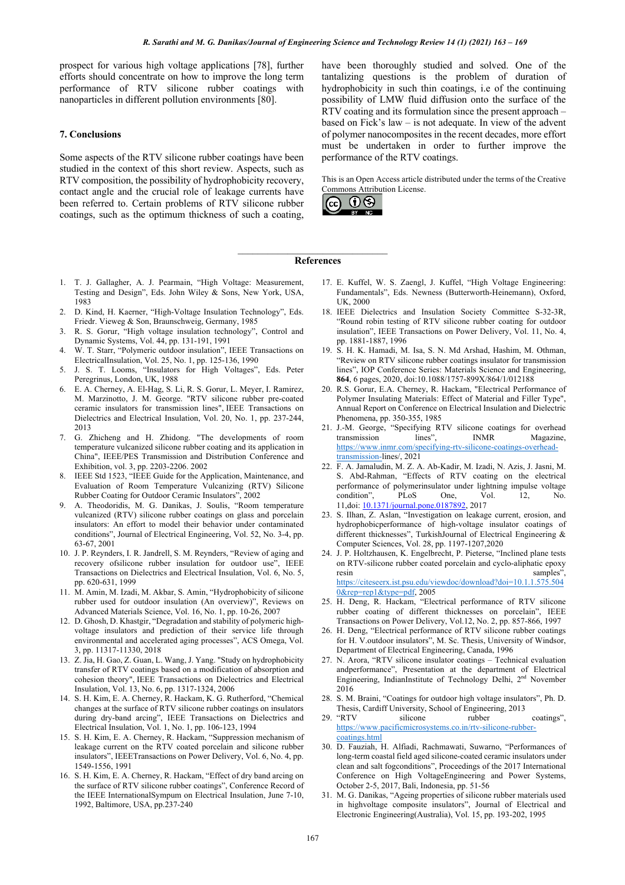prospect for various high voltage applications [78], further efforts should concentrate on how to improve the long term performance of RTV silicone rubber coatings with nanoparticles in different pollution environments [80].

## **7. Conclusions**

Some aspects of the RTV silicone rubber coatings have been studied in the context of this short review. Aspects, such as RTV composition, the possibility of hydrophobicity recovery, contact angle and the crucial role of leakage currents have been referred to. Certain problems of RTV silicone rubber coatings, such as the optimum thickness of such a coating, have been thoroughly studied and solved. One of the tantalizing questions is the problem of duration of hydrophobicity in such thin coatings, i.e of the continuing possibility of LMW fluid diffusion onto the surface of the RTV coating and its formulation since the present approach – based on Fick's law – is not adequate. In view of the advent of polymer nanocomposites in the recent decades, more effort must be undertaken in order to further improve the performance of the RTV coatings.

This is an Open Access article distributed under the terms of the Creative Commons Attribution License.



### $\mathcal{L}_\text{max}$  , and the set of the set of the set of the set of the set of the set of the set of the set of the set of the set of the set of the set of the set of the set of the set of the set of the set of the set of the **References**

- 1. T. J. Gallagher, A. J. Pearmain, "High Voltage: Measurement, Testing and Design", Eds. John Wiley & Sons, New York, USA, 1983
- 2. D. Kind, H. Kaerner, "High-Voltage Insulation Technology", Eds. Friedr. Vieweg & Son, Braunschweig, Germany, 1985
- 3. R. S. Gorur, "High voltage insulation technology", Control and Dynamic Systems, Vol. 44, pp. 131-191, 1991
- 4. W. T. Starr, "Polymeric outdoor insulation", IEEE Transactions on ElectricalInsulation, Vol. 25, No. 1, pp. 125-136, 1990
- 5. J. S. T. Looms, "Insulators for High Voltages", Eds. Peter Peregrinus, London, UK, 1988
- 6. E. A. Cherney, A. El-Hag, S. Li, R. S. Gorur, L. Meyer, I. Ramirez, M. Marzinotto, J. M. George. "RTV silicone rubber pre-coated ceramic insulators for transmission lines", IEEE Transactions on Dielectrics and Electrical Insulation, Vol. 20, No. 1, pp. 237-244, 2013
- 7. G. Zhicheng and H. Zhidong. "The developments of room temperature vulcanized silicone rubber coating and its application in China", IEEE/PES Transmission and Distribution Conference and Exhibition, vol. 3, pp. 2203-2206. 2002
- 8. IEEE Std 1523, "IEEE Guide for the Application, Maintenance, and Evaluation of Room Temperature Vulcanizing (RTV) Silicone Rubber Coating for Outdoor Ceramic Insulators", 2002
- 9. A. Theodoridis, M. G. Danikas, J. Soulis, "Room temperature vulcanized (RTV) silicone rubber coatings on glass and porcelain insulators: An effort to model their behavior under contaminated conditions", Journal of Electrical Engineering, Vol. 52, No. 3-4, pp. 63-67, 2001
- 10. J. P. Reynders, I. R. Jandrell, S. M. Reynders, "Review of aging and recovery ofsilicone rubber insulation for outdoor use", IEEE Transactions on Dielectrics and Electrical Insulation, Vol. 6, No. 5, pp. 620-631, 1999
- 11. M. Amin, M. Izadi, M. Akbar, S. Amin, "Hydrophobicity of silicone rubber used for outdoor insulation (An overview)", Reviews on Advanced Materials Science, Vol. 16, No. 1, pp. 10-26, 2007
- 12. D. Ghosh, D. Khastgir, "Degradation and stability of polymeric highvoltage insulators and prediction of their service life through environmental and accelerated aging processes", ACS Omega, Vol. 3, pp. 11317-11330, 2018
- 13. Z. Jia, H. Gao, Z. Guan, L. Wang, J. Yang. "Study on hydrophobicity transfer of RTV coatings based on a modification of absorption and cohesion theory", IEEE Transactions on Dielectrics and Electrical Insulation, Vol. 13, No. 6, pp. 1317-1324, 2006
- 14. S. H. Kim, E. A. Cherney, R. Hackam, K. G. Rutherford, "Chemical changes at the surface of RTV silicone rubber coatings on insulators during dry-band arcing", IEEE Transactions on Dielectrics and Electrical Insulation, Vol. 1, No. 1, pp. 106-123, 1994
- 15. S. H. Kim, E. A. Cherney, R. Hackam, "Suppression mechanism of leakage current on the RTV coated porcelain and silicone rubber insulators", IEEETransactions on Power Delivery, Vol. 6, No. 4, pp. 1549-1556, 1991
- 16. S. H. Kim, E. A. Cherney, R. Hackam, "Effect of dry band arcing on the surface of RTV silicone rubber coatings", Conference Record of the IEEE InternationalSympum on Electrical Insulation, June 7-10, 1992, Baltimore, USA, pp.237-240
- 17. E. Kuffel, W. S. Zaengl, J. Kuffel, "High Voltage Engineering: Fundamentals", Eds. Newness (Butterworth-Heinemann), Oxford, UK, 2000
- 18. IEEE Dielectrics and Insulation Society Committee S-32-3R, "Round robin testing of RTV silicone rubber coating for outdoor insulation", IEEE Transactions on Power Delivery, Vol. 11, No. 4, pp. 1881-1887, 1996
- 19. S. H. K. Hamadi, M. Isa, S. N. Md Arshad, Hashim, M. Othman, "Review on RTV silicone rubber coatings insulator for transmission lines", IOP Conference Series: Materials Science and Engineering, **864**, 6 pages, 2020, doi:10.1088/1757-899X/864/1/012188
- 20. R.S. Gorur, E.A. Cherney, R. Hackam, "Electrical Performance of Polymer Insulating Materials: Effect of Material and Filler Type", Annual Report on Conference on Electrical Insulation and Dielectric Phenomena, pp. 350-355, 1985
- 21. J.-M. George, "Specifying RTV silicone coatings for overhead transmission lines", INMR Magazine, https://www.inmr.com/specifying-rtv-silicone-coatings-overheadtransmission-lines/, 2021
- 22. F. A. Jamaludin, M. Z. A. Ab-Kadir, M. Izadi, N. Azis, J. Jasni, M. S. Abd-Rahman, "Effects of RTV coating on the electrical performance of polymerinsulator under lightning impulse voltage condition", PLoS One, Vol. 12, No. 11,doi: 10.1371/journal.pone.0187892, 2017
- 23. S. Ilhan, Z. Aslan, "Investigation on leakage current, erosion, and hydrophobicperformance of high-voltage insulator coatings of different thicknesses", TurkishJournal of Electrical Engineering & Computer Sciences, Vol. 28, pp. 1197-1207,2020
- 24. J. P. Holtzhausen, K. Engelbrecht, P. Pieterse, "Inclined plane tests on RTV-silicone rubber coated porcelain and cyclo-aliphatic epoxy resin samples". https://citeseerx.ist.psu.edu/viewdoc/download?doi=10.1.1.575.504 0&rep=rep1&type=pdf, 2005
- 25. H. Deng, R. Hackam, "Electrical performance of RTV silicone rubber coating of different thicknesses on porcelain", IEEE Transactions on Power Delivery, Vol.12, No. 2, pp. 857-866, 1997
- 26. H. Deng, "Electrical performance of RTV silicone rubber coatings for H. V.outdoor insulators", M. Sc. Thesis, University of Windsor, Department of Electrical Engineering, Canada, 1996
- 27. N. Arora, "RTV silicone insulator coatings Technical evaluation andperformance", Presentation at the department of Electrical Engineering, IndianInstitute of Technology Delhi, 2<sup>nd</sup> November 2016
- 28. S. M. Braini, "Coatings for outdoor high voltage insulators", Ph. D. Thesis, Cardiff University, School of Engineering, 2013
- 29. "RTV silicone rubber coatings", https://www.pacificmicrosystems.co.in/rtv-silicone-rubbercoatings.html
- 30. D. Fauziah, H. Alfiadi, Rachmawati, Suwarno, "Performances of long-term coastal field aged silicone-coated ceramic insulators under clean and salt fogconditions", Proceedings of the 2017 International Conference on High VoltageEngineering and Power Systems, October 2-5, 2017, Bali, Indonesia, pp. 51-56
- 31. M. G. Danikas, "Ageing properties of silicone rubber materials used in highvoltage composite insulators", Journal of Electrical and Electronic Engineering(Australia), Vol. 15, pp. 193-202, 1995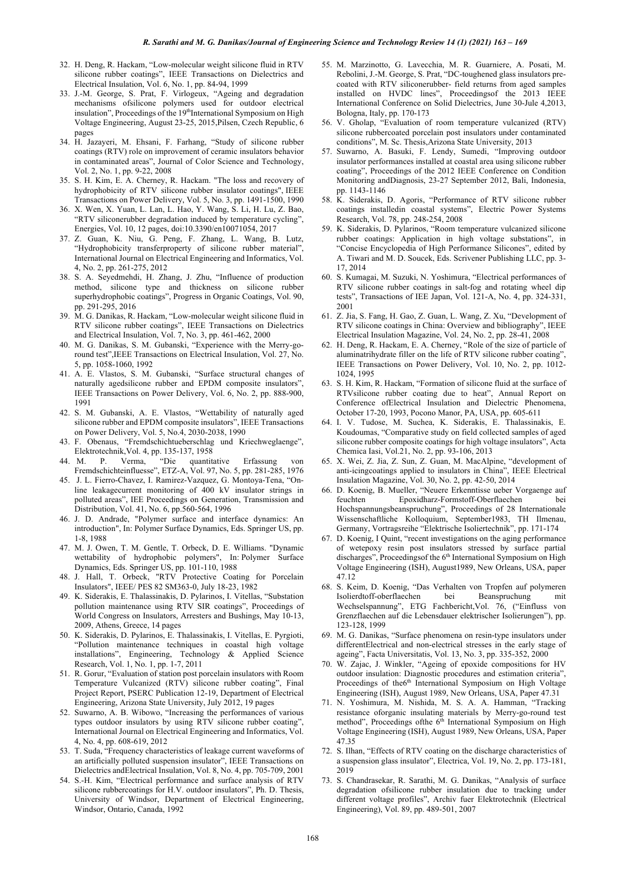- 32. H. Deng, R. Hackam, "Low-molecular weight silicone fluid in RTV silicone rubber coatings", IEEE Transactions on Dielectrics and Electrical Insulation, Vol. 6, No. 1, pp. 84-94, 1999
- 33. J.-M. George, S. Prat, F. Virlogeux, "Ageing and degradation mechanisms ofsilicone polymers used for outdoor electrical insulation", Proceedings of the 19<sup>th</sup>International Symposium on High Voltage Engineering, August 23-25, 2015,Pilsen, Czech Republic, 6 pages
- 34. H. Jazayeri, M. Ehsani, F. Farhang, "Study of silicone rubber coatings (RTV) role on improvement of ceramic insulators behavior in contaminated areas", Journal of Color Science and Technology, Vol. 2, No. 1, pp. 9-22, 2008
- 35. S. H. Kim, E. A. Cherney, R. Hackam. "The loss and recovery of hydrophobicity of RTV silicone rubber insulator coatings", IEEE Transactions on Power Delivery, Vol. 5, No. 3, pp. 1491-1500, 1990
- 36. X. Wen, X. Yuan, L. Lan, L. Hao, Y. Wang, S. Li, H. Lu, Z. Bao, "RTV siliconerubber degradation induced by temperature cycling", Energies, Vol. 10, 12 pages, doi:10.3390/en10071054, 2017
- 37. Z. Guan, K. Niu, G. Peng, F. Zhang, L. Wang, B. Lutz, "Hydrophobicity transferproperty of silicone rubber material", International Journal on Electrical Engineering and Informatics, Vol. 4, No. 2, pp. 261-275, 2012
- 38. S. A. Seyedmehdi, H. Zhang, J. Zhu, "Influence of production method, silicone type and thickness on silicone rubber superhydrophobic coatings", Progress in Organic Coatings, Vol. 90, pp. 291-295, 2016
- 39. M. G. Danikas, R. Hackam, "Low-molecular weight silicone fluid in RTV silicone rubber coatings", IEEE Transactions on Dielectrics and Electrical Insulation, Vol. 7, No. 3, pp. 461-462, 2000
- 40. M. G. Danikas, S. M. Gubanski, "Experience with the Merry-goround test",IEEE Transactions on Electrical Insulation, Vol. 27, No. 5, pp. 1058-1060, 1992
- 41. A. E. Vlastos, S. M. Gubanski, "Surface structural changes of naturally agedsilicone rubber and EPDM composite insulators", IEEE Transactions on Power Delivery, Vol. 6, No. 2, pp. 888-900, 1991
- 42. S. M. Gubanski, A. E. Vlastos, "Wettability of naturally aged silicone rubber and EPDM composite insulators", IEEE Transactions on Power Delivery, Vol. 5, No.4, 2030-2038, 1990
- 43. F. Obenaus, "Fremdschichtueberschlag und Kriechweglaenge", Elektrotechnik,Vol. 4, pp. 135-137, 1958
- 44. M. P. Verma, "Die quantitative Erfassung von Fremdschichteinfluesse", ETZ-A, Vol. 97, No. 5, pp. 281-285, 1976
- 45. J. L. Fierro-Chavez, I. Ramirez-Vazquez, G. Montoya-Tena, "Online leakagecurrent monitoring of 400 kV insulator strings in polluted areas", IEE Proceedings on Generation, Transmission and Distribution, Vol. 41, No. 6, pp.560-564, 1996
- 46. J. D. Andrade, "Polymer surface and interface dynamics: An introduction", In: Polymer Surface Dynamics, Eds. Springer US, pp. 1-8, 1988
- 47. M. J. Owen, T. M. Gentle, T. Orbeck, D. E. Williams. "Dynamic wettability of hydrophobic polymers", In: Polymer Surface Dynamics, Eds. Springer US, pp. 101-110, 1988
- 48. J. Hall, T. Orbeck, "RTV Protective Coating for Porcelain Insulators", IEEE/ PES 82 SM363-0, July 18-23, 1982
- 49. K. Siderakis, E. Thalassinakis, D. Pylarinos, I. Vitellas, "Substation pollution maintenance using RTV SIR coatings", Proceedings of World Congress on Insulators, Arresters and Bushings, May 10-13, 2009, Athens, Greece, 14 pages
- 50. K. Siderakis, D. Pylarinos, E. Thalassinakis, I. Vitellas, E. Pyrgioti, "Pollution maintenance techniques in coastal high voltage installations", Engineering, Technology & Applied Science Research, Vol. 1, No. 1, pp. 1-7, 2011
- 51. R. Gorur, "Evaluation of station post porcelain insulators with Room Temperature Vulcanized (RTV) silicone rubber coating", Final Project Report, PSERC Publication 12-19, Department of Electrical Engineering, Arizona State University, July 2012, 19 pages
- 52. Suwarno, A. B. Wibowo, "Increasing the performances of various types outdoor insulators by using RTV silicone rubber coating", International Journal on Electrical Engineering and Informatics, Vol. 4, No. 4, pp. 608-619, 2012
- 53. T. Suda, "Frequency characteristics of leakage current waveforms of an artificially polluted suspension insulator", IEEE Transactions on Dielectrics andElectrical Insulation, Vol. 8, No. 4, pp. 705-709, 2001
- 54. S.-H. Kim, "Electrical performance and surface analysis of RTV silicone rubbercoatings for H.V. outdoor insulators", Ph. D. Thesis, University of Windsor, Department of Electrical Engineering, Windsor, Ontario, Canada, 1992
- 55. M. Marzinotto, G. Lavecchia, M. R. Guarniere, A. Posati, M. Rebolini, J.-M. George, S. Prat, "DC-toughened glass insulators precoated with RTV siliconerubber- field returns from aged samples installed on HVDC lines", Proceedingsof the 2013 IEEE International Conference on Solid Dielectrics, June 30-Jule 4,2013, Bologna, Italy, pp. 170-173
- 56. V. Gholap, "Evaluation of room temperature vulcanized (RTV) silicone rubbercoated porcelain post insulators under contaminated conditions", M. Sc. Thesis,Arizona State University, 2013
- 57. Suwarno, A. Basuki, F. Lendy, Sumedi, "Improving outdoor insulator performances installed at coastal area using silicone rubber coating", Proceedings of the 2012 IEEE Conference on Condition Monitoring andDiagnosis, 23-27 September 2012, Bali, Indonesia, pp. 1143-1146
- 58. K. Siderakis, D. Agoris, "Performance of RTV silicone rubber coatings installedin coastal systems", Electric Power Systems Research, Vol. 78, pp. 248-254, 2008
- 59. K. Siderakis, D. Pylarinos, "Room temperature vulcanized silicone rubber coatings: Application in high voltage substations", in "Concise Encyclopedia of High Performance Silicones", edited by A. Tiwari and M. D. Soucek, Eds. Scrivener Publishing LLC, pp. 3- 17, 2014
- 60. S. Kumagai, M. Suzuki, N. Yoshimura, "Electrical performances of RTV silicone rubber coatings in salt-fog and rotating wheel dip tests", Transactions of IEE Japan, Vol. 121-A, No. 4, pp. 324-331, 2001
- 61. Z. Jia, S. Fang, H. Gao, Z. Guan, L. Wang, Z. Xu, "Development of RTV silicone coatings in China: Overview and bibliography", IEEE Electrical Insulation Magazine, Vol. 24, No. 2, pp. 28-41, 2008
- 62. H. Deng, R. Hackam, E. A. Cherney, "Role of the size of particle of aluminatrihydrate filler on the life of RTV silicone rubber coating", IEEE Transactions on Power Delivery, Vol. 10, No. 2, pp. 1012- 1024, 1995
- 63. S. H. Kim, R. Hackam, "Formation of silicone fluid at the surface of RTVsilicone rubber coating due to heat", Annual Report on Conference ofElectrical Insulation and Dielectric Phenomena, October 17-20, 1993, Pocono Manor, PA, USA, pp. 605-611
- 64. I. V. Tudose, M. Suchea, K. Siderakis, E. Thalassinakis, E. Koudoumas, "Comparative study on field collected samples of aged silicone rubber composite coatings for high voltage insulators", Acta Chemica Iasi, Vol.21, No. 2, pp. 93-106, 2013
- 65. X. Wei, Z. Jia, Z. Sun, Z. Guan, M. MacAlpine, "development of anti-icingcoatings applied to insulators in China", IEEE Electrical Insulation Magazine, Vol. 30, No. 2, pp. 42-50, 2014
- 66. D. Koenig, B. Mueller, "Neuere Erkenntisse ueber Vorgaenge auf feuchten Epoxidharz-Formstoff-Oberflaechen bei Hochspannungsbeanspruchung", Proceedings of 28 Internationale Wissenschaftliche Kolloquium, September1983, TH Ilmenau, Germany, Vortragsreihe "Elektrische Isoliertechnik", pp. 171-174
- 67. D. Koenig, I Quint, "recent investigations on the aging performance of wetepoxy resin post insulators stressed by surface partial discharges", Proceedingsof the 6<sup>th</sup> International Symposium on High Voltage Engineering (ISH), August1989, New Orleans, USA, paper 47.12
- 68. S. Keim, D. Koenig, "Das Verhalten von Tropfen auf polymeren Isolierdtoff-oberflaechen bei Beanspruchung mit Wechselspannung", ETG Fachbericht,Vol. 76, ("Einfluss von Grenzflaechen auf die Lebensdauer elektrischer Isolierungen"), pp. 123-128, 1999
- 69. M. G. Danikas, "Surface phenomena on resin-type insulators under differentElectrical and non-electrical stresses in the early stage of ageing", Facta Universitatis, Vol. 13, No. 3, pp. 335-352, 2000
- 70. W. Zajac, J. Winkler, "Ageing of epoxide compositions for HV outdoor insulation: Diagnostic procedures and estimation criteria", Proceedings of the6<sup>th</sup> International Symposium on High Voltage Engineering (ISH), August 1989, New Orleans, USA, Paper 47.31
- 71. N. Yoshimura, M. Nishida, M. S. A. A. Hamman, "Tracking resistance oforganic insulating materials by Merry-go-round test method", Proceedings of the  $6<sup>th</sup>$  International Symposium on High Voltage Engineering (ISH), August 1989, New Orleans, USA, Paper 47.35
- 72. S. Ilhan, "Effects of RTV coating on the discharge characteristics of a suspension glass insulator", Electrica, Vol. 19, No. 2, pp. 173-181, 2019
- 73. S. Chandrasekar, R. Sarathi, M. G. Danikas, "Analysis of surface degradation ofsilicone rubber insulation due to tracking under different voltage profiles", Archiv fuer Elektrotechnik (Electrical Engineering), Vol. 89, pp. 489-501, 2007